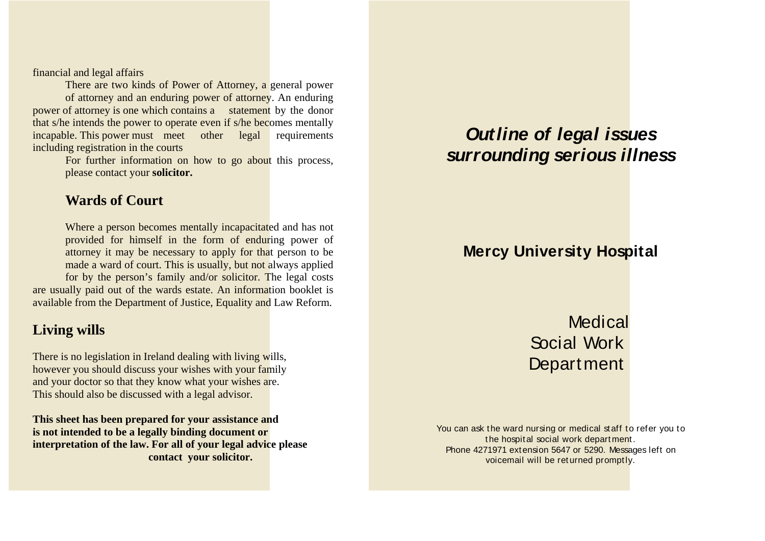financial and legal affairs

 There are two kinds of Power of Attorney, a general power of attorney and an enduring power of attorney. An enduring power of attorney is one which contains a statement by the donor that s/he intends the power to operate even if s/he becomes mentally incapable. This power must meet other legal requirements including registration in the courts

> For further information on how to go about this process, please contact your **solicitor.**

#### **Wards of Court**

 Where a person becomes mentally incapacitated and has not provided for himself in the form of enduring power of attorney it may be necessary to apply for that person to be made a ward of court. This is usually, but not always applied for by the person's family and/or solicitor. The legal costs are usually paid out of the wards estate. An information booklet is available from the Department of Justice, Equality and Law Reform.

## **Living wills**

There is no legislation in Ireland dealing with living wills, however you should discuss your wishes with your family and your doctor so that they know what your wishes are. This should also be discussed with a legal advisor.

**This sheet has been prepared for your assistance and is not intended to be a legally binding document or interpretation of the law. For all of your legal advice please contact your solicitor.**

# **Outline of legal issues surrounding serious illness**

## **Mercy University Hospital**

**Medical**  Social Work Department

You can ask the ward nursing or medical staff to refer you to the hospital social work department. Phone 4271971 extension 5647 or 5290. Messages left on voicemail will be returned promptly.